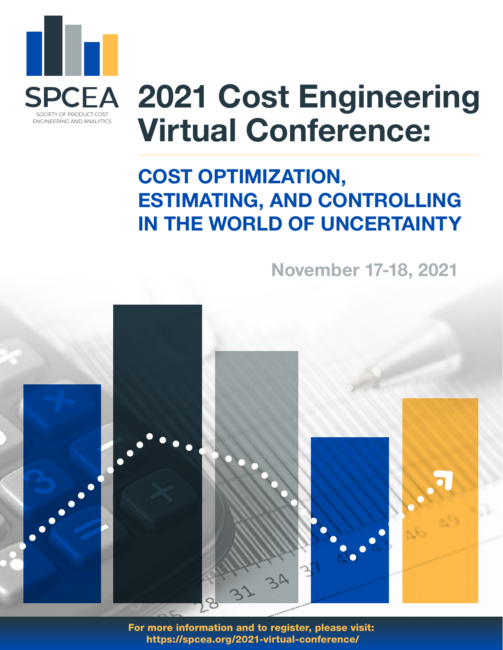

## 2021 Cost Engineering Virtual Conference:

## COST OPTIMIZATION, ESTIMATING, AND CONTROLLING IN THE WORLD OF UNCERTAINTY

## November 17-18, 2021



For more information and to register, please visit: <https://spcea.org/2021-virtual-conference/>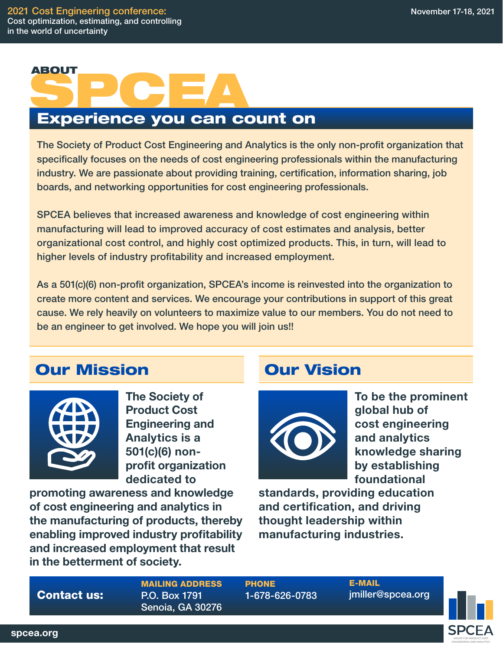## SPCEA ABOUT Experience you can count on

The Society of Product Cost Engineering and Analytics is the only non-profit organization that specifically focuses on the needs of cost engineering professionals within the manufacturing industry. We are passionate about providing training, certification, information sharing, job boards, and networking opportunities for cost engineering professionals.

SPCEA believes that increased awareness and knowledge of cost engineering within manufacturing will lead to improved accuracy of cost estimates and analysis, better organizational cost control, and highly cost optimized products. This, in turn, will lead to higher levels of industry profitability and increased employment.

As a 501(c)(6) non-profit organization, SPCEA's income is reinvested into the organization to create more content and services. We encourage your contributions in support of this great cause. We rely heavily on volunteers to maximize value to our members. You do not need to be an engineer to get involved. We hope you will join us!!

### Our Mission



The Society of Product Cost Engineering and Analytics is a 501(c)(6) nonprofit organization dedicated to

promoting awareness and knowledge of cost engineering and analytics in the manufacturing of products, thereby enabling improved industry profitability and increased employment that result in the betterment of society.

### Our Vision



To be the prominent global hub of cost engineering and analytics knowledge sharing by establishing foundational

standards, providing education and certification, and driving thought leadership within manufacturing industries.

Contact us:

MAILING ADDRESS P.O. Box 1791 Senoia, GA 30276 **PHONE** 1-678-626-0783

E-MAIL jmiller@spcea.org

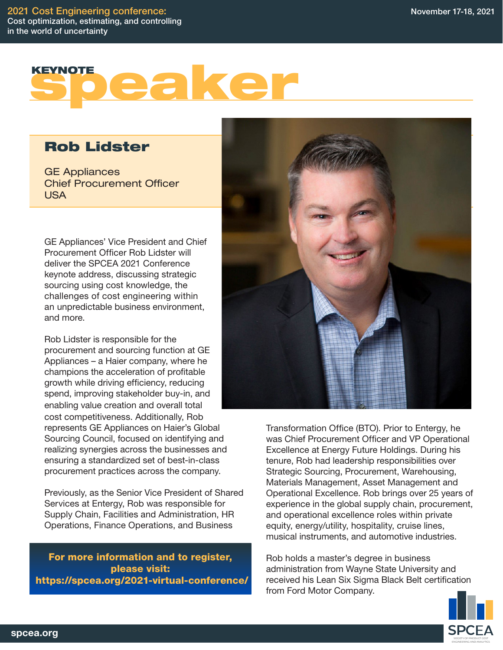# servote een kerk

### Rob Lidster

GE Appliances Chief Procurement Officer USA

GE Appliances' Vice President and Chief Procurement Officer Rob Lidster will deliver the SPCEA 2021 Conference keynote address, discussing strategic sourcing using cost knowledge, the challenges of cost engineering within an unpredictable business environment, and more.

Rob Lidster is responsible for the procurement and sourcing function at GE Appliances – a Haier company, where he champions the acceleration of profitable growth while driving efficiency, reducing spend, improving stakeholder buy-in, and enabling value creation and overall total cost competitiveness. Additionally, Rob represents GE Appliances on Haier's Global Sourcing Council, focused on identifying and realizing synergies across the businesses and ensuring a standardized set of best-in-class procurement practices across the company.

Previously, as the Senior Vice President of Shared Services at Entergy, Rob was responsible for Supply Chain, Facilities and Administration, HR Operations, Finance Operations, and Business

For more information and to register, please visit: <https://spcea.org/2021-virtual-conference/>



Transformation Office (BTO). Prior to Entergy, he was Chief Procurement Officer and VP Operational Excellence at Energy Future Holdings. During his tenure, Rob had leadership responsibilities over Strategic Sourcing, Procurement, Warehousing, Materials Management, Asset Management and Operational Excellence. Rob brings over 25 years of experience in the global supply chain, procurement, and operational excellence roles within private equity, energy/utility, hospitality, cruise lines, musical instruments, and automotive industries.

Rob holds a master's degree in business administration from Wayne State University and received his Lean Six Sigma Black Belt certification from Ford Motor Company.

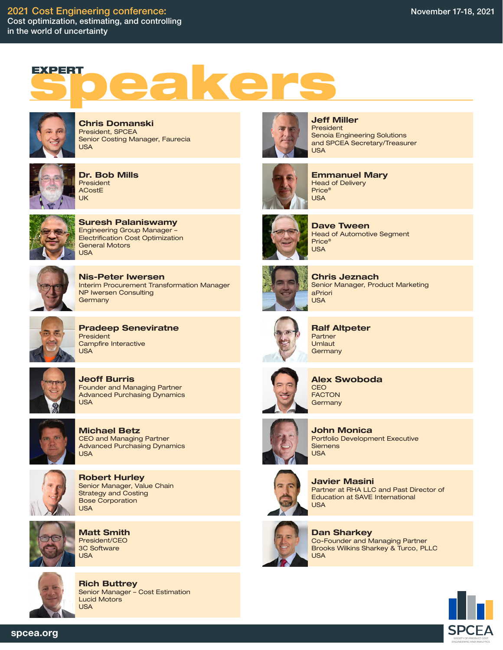



Chris Domanski President, SPCEA Senior Costing Manager, Faurecia USA



Dr. Bob Mills President ACostE UK



Suresh Palaniswamy Engineering Group Manager – Electrification Cost Optimization General Motors **USA** 



Nis-Peter Iwersen Interim Procurement Transformation Manager NP Iwersen Consulting **Germany** 



Pradeep Seneviratne President Campfire Interactive USA



Jeoff Burris Founder and Managing Partner Advanced Purchasing Dynamics USA



Michael Betz CEO and Managing Partner Advanced Purchasing Dynamics USA



Robert Hurley Senior Manager, Value Chain Strategy and Costing Bose Corporation USA



Matt Smith President/CEO 3C Software USA



Rich Buttrey Senior Manager – Cost Estimation Lucid Motors USA



**President** Senoia Engineering Solutions and SPCEA Secretary/Treasurer USA



Emmanuel Mary Head of Delivery Price® USA



Dave Tween Head of Automotive Segment Price® USA



Chris Jeznach Senior Manager, Product Marketing aPriori USA



Ralf Altpeter **Partner** Umlaut **Germany** 



Alex Swoboda **CEO** FACTON **Germany** 



John Monica Portfolio Development Executive **Siemens** USA



Javier Masini Partner at RHA LLC and Past Director of Education at SAVE International USA



Dan Sharkey Co-Founder and Managing Partner Brooks Wilkins Sharkey & Turco, PLLC USA

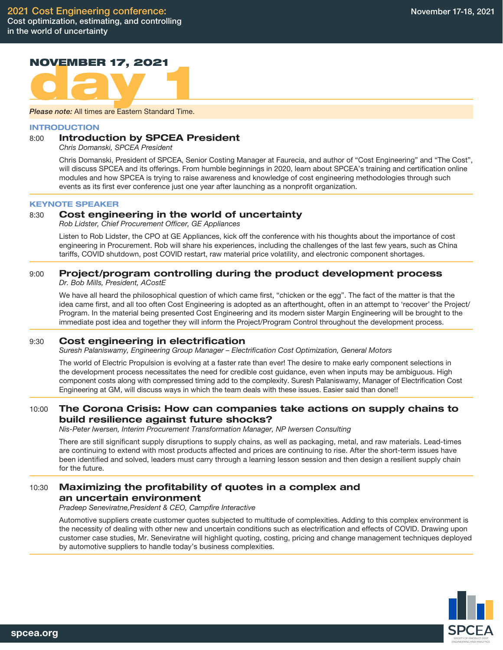### **NOVEMBER 17, 2021**



*Please note:* All times are Eastern Standard Time.

### INTRODUCTION

### 8:00 Introduction by SPCEA President

*Chris Domanski, SPCEA President*

 Chris Domanski, President of SPCEA, Senior Costing Manager at Faurecia, and author of "Cost Engineering" and "The Cost", will discuss SPCEA and its offerings. From humble beginnings in 2020, learn about SPCEA's training and certification online modules and how SPCEA is trying to raise awareness and knowledge of cost engineering methodologies through such events as its first ever conference just one year after launching as a nonprofit organization.

### KEYNOTE SPEAKER

### 8:30 Cost engineering in the world of uncertainty

*Rob Lidster, Chief Procurement Officer, GE Appliances*

 Listen to Rob Lidster, the CPO at GE Appliances, kick off the conference with his thoughts about the importance of cost engineering in Procurement. Rob will share his experiences, including the challenges of the last few years, such as China tariffs, COVID shutdown, post COVID restart, raw material price volatility, and electronic component shortages.

### 9:00 Project/program controlling during the product development process *Dr. Bob Mills, President, ACostE*

 We have all heard the philosophical question of which came first, "chicken or the egg". The fact of the matter is that the idea came first, and all too often Cost Engineering is adopted as an afterthought, often in an attempt to 'recover' the Project/ Program. In the material being presented Cost Engineering and its modern sister Margin Engineering will be brought to the immediate post idea and together they will inform the Project/Program Control throughout the development process.

### 9:30 Cost engineering in electrification

 *Suresh Palaniswamy, Engineering Group Manager – Electrification Cost Optimization, General Motors*

 The world of Electric Propulsion is evolving at a faster rate than ever! The desire to make early component selections in the development process necessitates the need for credible cost guidance, even when inputs may be ambiguous. High component costs along with compressed timing add to the complexity. Suresh Palaniswamy, Manager of Electrification Cost Engineering at GM, will discuss ways in which the team deals with these issues. Easier said than done!!

### 10:00 The Corona Crisis: How can companies take actions on supply chains to build resilience against future shocks?

*Nis-Peter Iwersen, Interim Procurement Transformation Manager, NP Iwersen Consulting*

 There are still significant supply disruptions to supply chains, as well as packaging, metal, and raw materials. Lead-times are continuing to extend with most products affected and prices are continuing to rise. After the short-term issues have been identified and solved, leaders must carry through a learning lesson session and then design a resilient supply chain for the future.

### 10:30 Maximizing the profitability of quotes in a complex and an uncertain environment

*Pradeep Seneviratne,President & CEO, Campfire Interactive*

 Automotive suppliers create customer quotes subjected to multitude of complexities. Adding to this complex environment is the necessity of dealing with other new and uncertain conditions such as electrification and effects of COVID. Drawing upon customer case studies, Mr. Seneviratne will highlight quoting, costing, pricing and change management techniques deployed by automotive suppliers to handle today's business complexities.

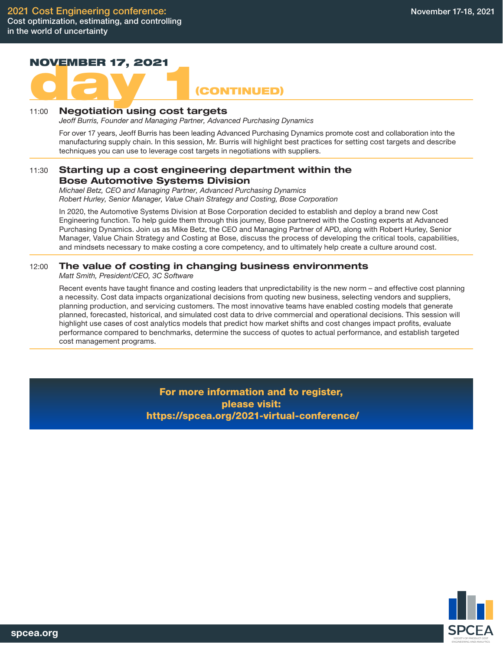### NOVEMBER 17, 2021

# NOVEMBER 17, 2021<br>CONTINUED)

### 11:00 Negotiation using cost targets

*Jeoff Burris, Founder and Managing Partner, Advanced Purchasing Dynamics*

 For over 17 years, Jeoff Burris has been leading Advanced Purchasing Dynamics promote cost and collaboration into the manufacturing supply chain. In this session, Mr. Burris will highlight best practices for setting cost targets and describe techniques you can use to leverage cost targets in negotiations with suppliers.

### 11:30 Starting up a cost engineering department within the Bose Automotive Systems Division

*Michael Betz, CEO and Managing Partner, Advanced Purchasing Dynamics Robert Hurley, Senior Manager, Value Chain Strategy and Costing, Bose Corporation*

 In 2020, the Automotive Systems Division at Bose Corporation decided to establish and deploy a brand new Cost Engineering function. To help guide them through this journey, Bose partnered with the Costing experts at Advanced Purchasing Dynamics. Join us as Mike Betz, the CEO and Managing Partner of APD, along with Robert Hurley, Senior Manager, Value Chain Strategy and Costing at Bose, discuss the process of developing the critical tools, capabilities, and mindsets necessary to make costing a core competency, and to ultimately help create a culture around cost.

### 12:00 The value of costing in changing business environments

*Matt Smith, President/CEO, 3C Software*

 Recent events have taught finance and costing leaders that unpredictability is the new norm – and effective cost planning a necessity. Cost data impacts organizational decisions from quoting new business, selecting vendors and suppliers, planning production, and servicing customers. The most innovative teams have enabled costing models that generate planned, forecasted, historical, and simulated cost data to drive commercial and operational decisions. This session will highlight use cases of cost analytics models that predict how market shifts and cost changes impact profits, evaluate performance compared to benchmarks, determine the success of quotes to actual performance, and establish targeted cost management programs.

> For more information and to register, please visit: <https://spcea.org/2021-virtual-conference/>

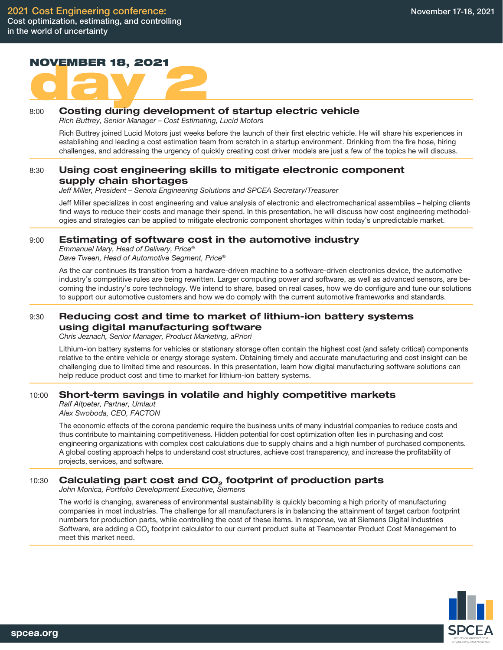

### Costing during development of startup electric vehicle

*Rich Buttrey, Senior Manager – Cost Estimating, Lucid Motors*

 Rich Buttrey joined Lucid Motors just weeks before the launch of their first electric vehicle. He will share his experiences in establishing and leading a cost estimation team from scratch in a startup environment. Drinking from the fire hose, hiring challenges, and addressing the urgency of quickly creating cost driver models are just a few of the topics he will discuss.

### 8:30 Using cost engineering skills to mitigate electronic component supply chain shortages

*Jeff Miller, President – Senoia Engineering Solutions and SPCEA Secretary/Treasurer*

 Jeff Miller specializes in cost engineering and value analysis of electronic and electromechanical assemblies – helping clients find ways to reduce their costs and manage their spend. In this presentation, he will discuss how cost engineering methodologies and strategies can be applied to mitigate electronic component shortages within today's unpredictable market.

### 9:00 Estimating of software cost in the automotive industry

*Emmanuel Mary, Head of Delivery, Price® Dave Tween, Head of Automotive Segment, Price®*

 As the car continues its transition from a hardware-driven machine to a software-driven electronics device, the automotive industry's competitive rules are being rewritten. Larger computing power and software, as well as advanced sensors, are becoming the industry's core technology. We intend to share, based on real cases, how we do configure and tune our solutions to support our automotive customers and how we do comply with the current automotive frameworks and standards.

### 9:30 Reducing cost and time to market of lithium-ion battery systems using digital manufacturing software

*Chris Jeznach, Senior Manager, Product Marketing, aPriori*

 Lithium-ion battery systems for vehicles or stationary storage often contain the highest cost (and safety critical) components relative to the entire vehicle or energy storage system. Obtaining timely and accurate manufacturing and cost insight can be challenging due to limited time and resources. In this presentation, learn how digital manufacturing software solutions can help reduce product cost and time to market for lithium-ion battery systems.

### 10:00 Short-term savings in volatile and highly competitive markets

*Ralf Altpeter, Partner, Umlaut Alex Swoboda, CEO, FACTON*

 The economic effects of the corona pandemic require the business units of many industrial companies to reduce costs and thus contribute to maintaining competitiveness. Hidden potential for cost optimization often lies in purchasing and cost engineering organizations with complex cost calculations due to supply chains and a high number of purchased components. A global costing approach helps to understand cost structures, achieve cost transparency, and increase the profitability of projects, services, and software.

### 10:30 Calculating part cost and  $CO<sub>2</sub>$  footprint of production parts

*John Monica, Portfolio Development Executive, Siemens*

 The world is changing, awareness of environmental sustainability is quickly becoming a high priority of manufacturing companies in most industries. The challenge for all manufacturers is in balancing the attainment of target carbon footprint numbers for production parts, while controlling the cost of these items. In response, we at Siemens Digital Industries Software, are adding a CO<sub>2</sub> footprint calculator to our current product suite at Teamcenter Product Cost Management to meet this market need.

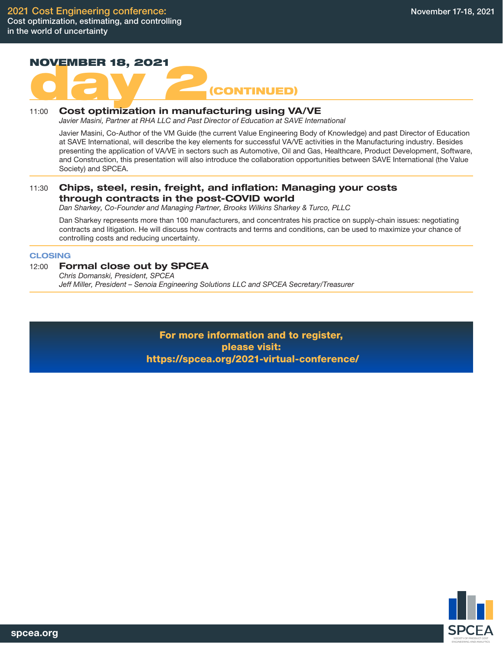### NOVEMBER 18, 2021



### 11:00 Cost optimization in manufacturing using VA/VE

*Javier Masini, Partner at RHA LLC and Past Director of Education at SAVE International*

 Javier Masini, Co-Author of the VM Guide (the current Value Engineering Body of Knowledge) and past Director of Education at SAVE International, will describe the key elements for successful VA/VE activities in the Manufacturing industry. Besides presenting the application of VA/VE in sectors such as Automotive, Oil and Gas, Healthcare, Product Development, Software, and Construction, this presentation will also introduce the collaboration opportunities between SAVE International (the Value Society) and SPCEA.

### 11:30 Chips, steel, resin, freight, and inflation: Managing your costs through contracts in the post-COVID world

*Dan Sharkey, Co-Founder and Managing Partner, Brooks Wilkins Sharkey & Turco, PLLC*

 Dan Sharkey represents more than 100 manufacturers, and concentrates his practice on supply-chain issues: negotiating contracts and litigation. He will discuss how contracts and terms and conditions, can be used to maximize your chance of controlling costs and reducing uncertainty.

### CLOSING

### 12:00 Formal close out by SPCEA

*Chris Domanski, President, SPCEA Jeff Miller, President – Senoia Engineering Solutions LLC and SPCEA Secretary/Treasurer*

> For more information and to register, please visit: <https://spcea.org/2021-virtual-conference/>